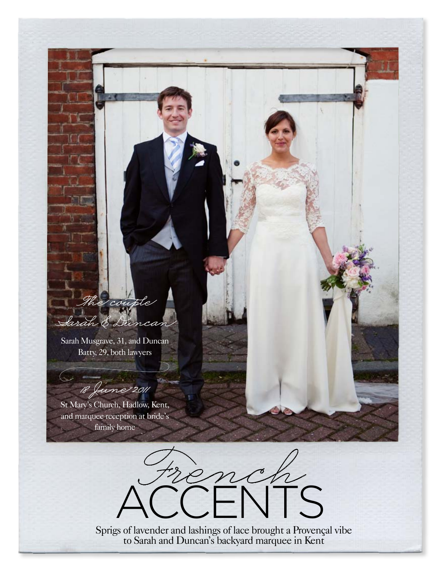## The couple Sarah & Duncan

Sarah Musgrave, 31, and Duncan Batty, 29, both lawyers

18 June 2011

St Mary's Church, Hadlow, Kent, and marquee reception at bride's family home



Sprigs of lavender and lashings of lace brought a Provençal vibe to Sarah and Duncan's backyard marquee in Kent